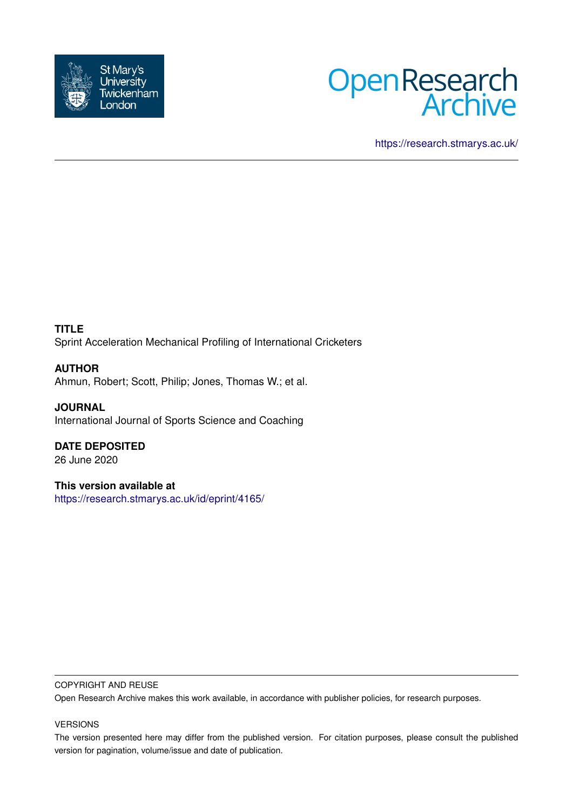



<https://research.stmarys.ac.uk/>

**TITLE** Sprint Acceleration Mechanical Profiling of International Cricketers

**AUTHOR** Ahmun, Robert; Scott, Philip; Jones, Thomas W.; et al.

**JOURNAL** International Journal of Sports Science and Coaching

**DATE DEPOSITED** 26 June 2020

**This version available at** <https://research.stmarys.ac.uk/id/eprint/4165/>

## COPYRIGHT AND REUSE

Open Research Archive makes this work available, in accordance with publisher policies, for research purposes.

# VERSIONS

The version presented here may differ from the published version. For citation purposes, please consult the published version for pagination, volume/issue and date of publication.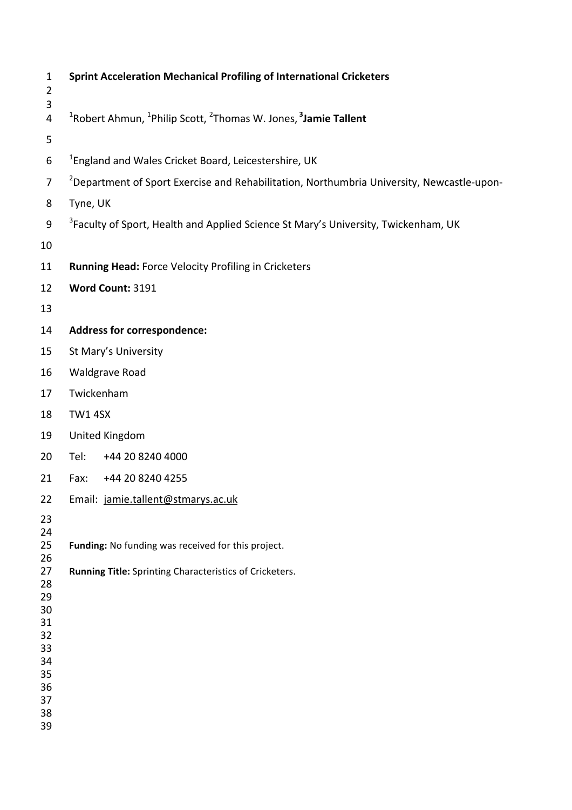| $\mathbf{1}$<br>$\overline{2}$<br>3                                        | <b>Sprint Acceleration Mechanical Profiling of International Cricketers</b>                                    |  |  |
|----------------------------------------------------------------------------|----------------------------------------------------------------------------------------------------------------|--|--|
| 4                                                                          | <sup>1</sup> Robert Ahmun, <sup>1</sup> Philip Scott, <sup>2</sup> Thomas W. Jones, <sup>3</sup> Jamie Tallent |  |  |
| 5                                                                          |                                                                                                                |  |  |
| 6                                                                          | <sup>1</sup> England and Wales Cricket Board, Leicestershire, UK                                               |  |  |
| $\overline{7}$                                                             | <sup>2</sup> Department of Sport Exercise and Rehabilitation, Northumbria University, Newcastle-upon-          |  |  |
| 8                                                                          | Tyne, UK                                                                                                       |  |  |
| 9                                                                          | <sup>3</sup> Faculty of Sport, Health and Applied Science St Mary's University, Twickenham, UK                 |  |  |
| 10                                                                         |                                                                                                                |  |  |
| 11                                                                         | <b>Running Head: Force Velocity Profiling in Cricketers</b>                                                    |  |  |
| 12                                                                         | Word Count: 3191                                                                                               |  |  |
| 13                                                                         |                                                                                                                |  |  |
| 14                                                                         | <b>Address for correspondence:</b>                                                                             |  |  |
| 15                                                                         | St Mary's University                                                                                           |  |  |
| 16                                                                         | <b>Waldgrave Road</b>                                                                                          |  |  |
| 17                                                                         | Twickenham                                                                                                     |  |  |
| 18                                                                         | <b>TW1 4SX</b>                                                                                                 |  |  |
| 19                                                                         | <b>United Kingdom</b>                                                                                          |  |  |
| 20                                                                         | Tel:<br>+44 20 8240 4000                                                                                       |  |  |
| 21                                                                         | Fax:<br>+44 20 8240 4255                                                                                       |  |  |
| 22                                                                         | Email: jamie.tallent@stmarys.ac.uk                                                                             |  |  |
| 23                                                                         |                                                                                                                |  |  |
| 24<br>25<br>26                                                             | Funding: No funding was received for this project.                                                             |  |  |
| 27<br>28<br>29<br>30<br>31<br>32<br>33<br>34<br>35<br>36<br>37<br>38<br>39 | Running Title: Sprinting Characteristics of Cricketers.                                                        |  |  |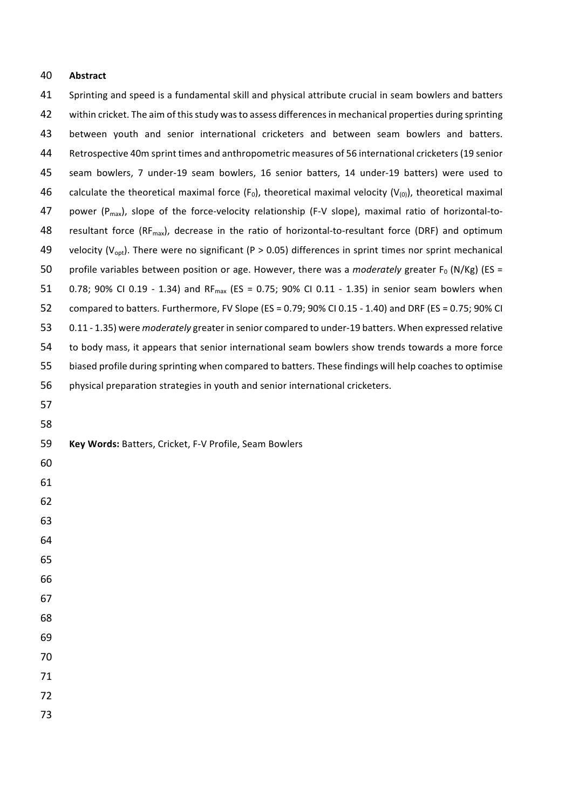# **Abstract**

| 41 | Sprinting and speed is a fundamental skill and physical attribute crucial in seam bowlers and batters                 |
|----|-----------------------------------------------------------------------------------------------------------------------|
| 42 | within cricket. The aim of this study was to assess differences in mechanical properties during sprinting             |
| 43 | between youth and senior international cricketers and between seam bowlers and batters.                               |
| 44 | Retrospective 40m sprint times and anthropometric measures of 56 international cricketers (19 senior                  |
| 45 | seam bowlers, 7 under-19 seam bowlers, 16 senior batters, 14 under-19 batters) were used to                           |
| 46 | calculate the theoretical maximal force ( $F_0$ ), theoretical maximal velocity ( $V_{(0)}$ ), theoretical maximal    |
| 47 | power ( $P_{max}$ ), slope of the force-velocity relationship (F-V slope), maximal ratio of horizontal-to-            |
| 48 | resultant force (RF <sub>max</sub> ), decrease in the ratio of horizontal-to-resultant force (DRF) and optimum        |
| 49 | velocity ( $V_{\text{opt}}$ ). There were no significant (P > 0.05) differences in sprint times nor sprint mechanical |
| 50 | profile variables between position or age. However, there was a moderately greater $F_0$ (N/Kg) (ES =                 |
| 51 | 0.78; 90% CI 0.19 - 1.34) and RF <sub>max</sub> (ES = 0.75; 90% CI 0.11 - 1.35) in senior seam bowlers when           |
| 52 | compared to batters. Furthermore, FV Slope (ES = 0.79; 90% CI 0.15 - 1.40) and DRF (ES = 0.75; 90% CI                 |
| 53 | 0.11 - 1.35) were moderately greater in senior compared to under-19 batters. When expressed relative                  |
| 54 | to body mass, it appears that senior international seam bowlers show trends towards a more force                      |
| 55 | biased profile during sprinting when compared to batters. These findings will help coaches to optimise                |
| 56 | physical preparation strategies in youth and senior international cricketers.                                         |
| 57 |                                                                                                                       |
| 58 |                                                                                                                       |
| 59 | Key Words: Batters, Cricket, F-V Profile, Seam Bowlers                                                                |
| 60 |                                                                                                                       |
| 61 |                                                                                                                       |
| 62 |                                                                                                                       |
| 63 |                                                                                                                       |
| 64 |                                                                                                                       |
| 65 |                                                                                                                       |
| 66 |                                                                                                                       |
| 67 |                                                                                                                       |
| 68 |                                                                                                                       |
| 69 |                                                                                                                       |
| 70 |                                                                                                                       |
| 71 |                                                                                                                       |
| 72 |                                                                                                                       |
| 73 |                                                                                                                       |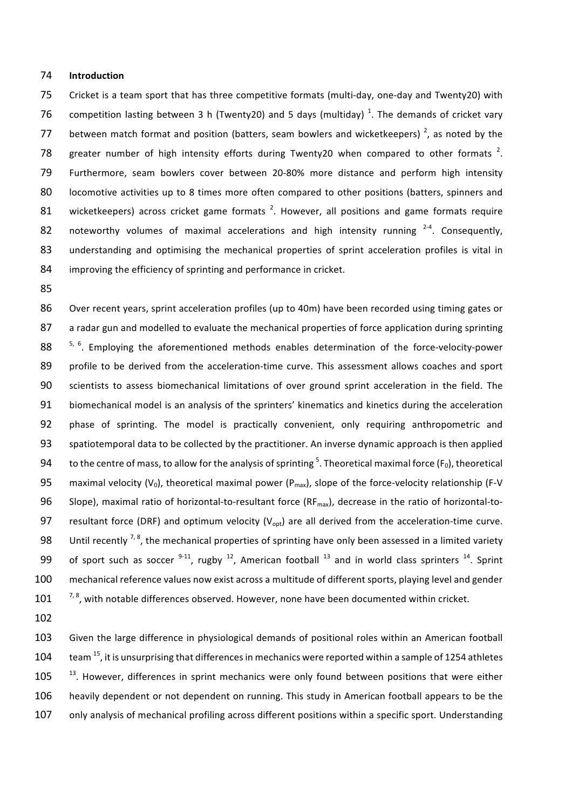#### 74 **Introduction**

75 Cricket is a team sport that has three competitive formats (multi-day, one-day and Twenty20) with 76 competition lasting between 3 h (Twenty20) and 5 days (multiday)<sup>1</sup>. The demands of cricket vary 77 between match format and position (batters, seam bowlers and wicketkeepers)  $^2$ , as noted by the 78 greater number of high intensity efforts during Twenty20 when compared to other formats  $2$ . 79 Furthermore, seam bowlers cover between 20-80% more distance and perform high intensity 80 locomotive activities up to 8 times more often compared to other positions (batters, spinners and 81 wicketkeepers) across cricket game formats<sup>2</sup>. However, all positions and game formats require 82 noteworthy volumes of maximal accelerations and high intensity running  $2-4$ . Consequently, 83 understanding and optimising the mechanical properties of sprint acceleration profiles is vital in 84 improving the efficiency of sprinting and performance in cricket.

85

86 Over recent years, sprint acceleration profiles (up to 40m) have been recorded using timing gates or 87 a radar gun and modelled to evaluate the mechanical properties of force application during sprinting 88  $\frac{5}{6}$ . Employing the aforementioned methods enables determination of the force-velocity-power 89 profile to be derived from the acceleration-time curve. This assessment allows coaches and sport 90 scientists to assess biomechanical limitations of over ground sprint acceleration in the field. The 91 biomechanical model is an analysis of the sprinters' kinematics and kinetics during the acceleration 92 phase of sprinting. The model is practically convenient, only requiring anthropometric and 93 spatiotemporal data to be collected by the practitioner. An inverse dynamic approach is then applied 94 to the centre of mass, to allow for the analysis of sprinting<sup>5</sup>. Theoretical maximal force (F<sub>0</sub>), theoretical 95 maximal velocity  $(V_0)$ , theoretical maximal power  $(P_{max})$ , slope of the force-velocity relationship (F-V 96 Slope), maximal ratio of horizontal-to-resultant force (RF<sub>max</sub>), decrease in the ratio of horizontal-to-97 resultant force (DRF) and optimum velocity ( $V_{opt}$ ) are all derived from the acceleration-time curve. 98 Until recently  $^{7, 8}$ , the mechanical properties of sprinting have only been assessed in a limited variety 99 of sport such as soccer  $9-11$ , rugby  $12$ , American football  $13$  and in world class sprinters  $14$ . Sprint 100 mechanical reference values now exist across a multitude of different sports, playing level and gender  $101$   $7.8$ , with notable differences observed. However, none have been documented within cricket.

102

103 Given the large difference in physiological demands of positional roles within an American football 104  $\pm$  team <sup>15</sup>, it is unsurprising that differences in mechanics were reported within a sample of 1254 athletes  $105$   $13$ . However, differences in sprint mechanics were only found between positions that were either 106 heavily dependent or not dependent on running. This study in American football appears to be the 107 only analysis of mechanical profiling across different positions within a specific sport. Understanding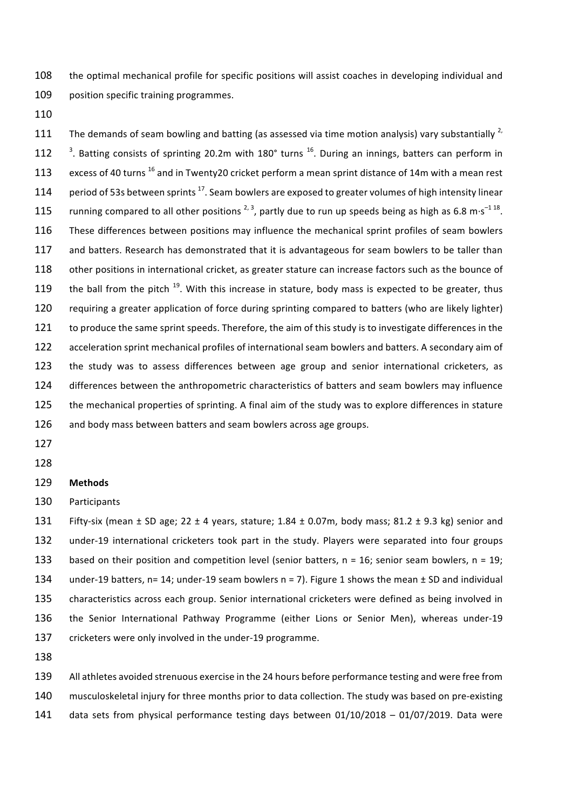108 the optimal mechanical profile for specific positions will assist coaches in developing individual and 109 position specific training programmes.

110

111 The demands of seam bowling and batting (as assessed via time motion analysis) vary substantially  $^{2}$ , 112  $^3$ . Batting consists of sprinting 20.2m with 180° turns <sup>16</sup>. During an innings, batters can perform in 113 excess of 40 turns  $^{16}$  and in Twenty20 cricket perform a mean sprint distance of 14m with a mean rest 114 period of 53s between sprints  $^{17}$ . Seam bowlers are exposed to greater volumes of high intensity linear 115 running compared to all other positions  $^{2,3}$ , partly due to run up speeds being as high as 6.8 m·s<sup>-1 18</sup>. 116 These differences between positions may influence the mechanical sprint profiles of seam bowlers 117 and batters. Research has demonstrated that it is advantageous for seam bowlers to be taller than 118 other positions in international cricket, as greater stature can increase factors such as the bounce of 119 the ball from the pitch  $^{19}$ . With this increase in stature, body mass is expected to be greater, thus 120 requiring a greater application of force during sprinting compared to batters (who are likely lighter) 121 to produce the same sprint speeds. Therefore, the aim of this study is to investigate differences in the 122 acceleration sprint mechanical profiles of international seam bowlers and batters. A secondary aim of 123 the study was to assess differences between age group and senior international cricketers, as 124 differences between the anthropometric characteristics of batters and seam bowlers may influence 125 the mechanical properties of sprinting. A final aim of the study was to explore differences in stature 126 and body mass between batters and seam bowlers across age groups.

- 127
- 128

#### 129 **Methods**

130 Participants

131 Fifty-six (mean  $\pm$  SD age; 22  $\pm$  4 years, stature; 1.84  $\pm$  0.07m, body mass; 81.2  $\pm$  9.3 kg) senior and 132 under-19 international cricketers took part in the study. Players were separated into four groups 133 based on their position and competition level (senior batters,  $n = 16$ ; senior seam bowlers,  $n = 19$ ; 134 under-19 batters,  $n= 14$ ; under-19 seam bowlers  $n= 7$ ). Figure 1 shows the mean  $\pm$  SD and individual 135 characteristics across each group. Senior international cricketers were defined as being involved in 136 the Senior International Pathway Programme (either Lions or Senior Men), whereas under-19 137 cricketers were only involved in the under-19 programme.

138

139 All athletes avoided strenuous exercise in the 24 hours before performance testing and were free from 140 musculoskeletal injury for three months prior to data collection. The study was based on pre-existing

141 data sets from physical performance testing days between 01/10/2018 - 01/07/2019. Data were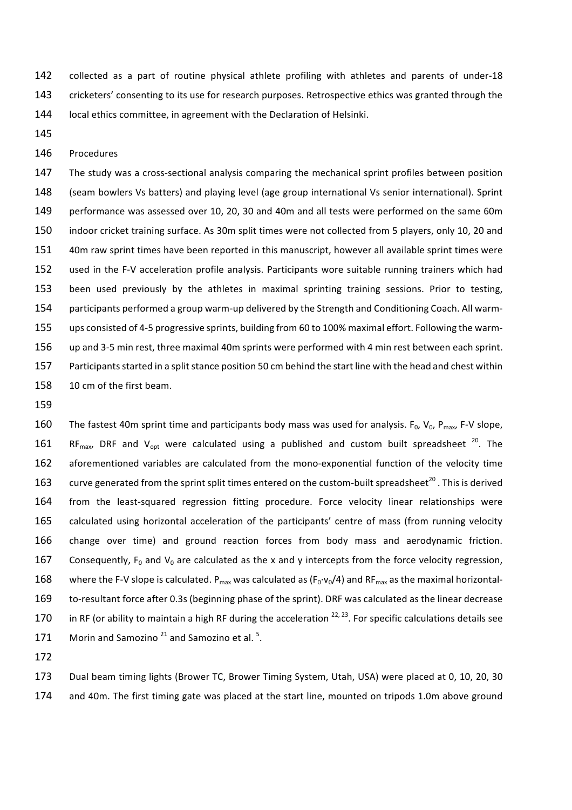142 collected as a part of routine physical athlete profiling with athletes and parents of under-18 143 cricketers' consenting to its use for research purposes. Retrospective ethics was granted through the 144 local ethics committee, in agreement with the Declaration of Helsinki.

145

### 146 Procedures

147 The study was a cross-sectional analysis comparing the mechanical sprint profiles between position 148 (seam bowlers Vs batters) and playing level (age group international Vs senior international). Sprint 149 performance was assessed over 10, 20, 30 and 40m and all tests were performed on the same 60m 150 indoor cricket training surface. As 30m split times were not collected from 5 players, only 10, 20 and 151 40m raw sprint times have been reported in this manuscript, however all available sprint times were 152 used in the F-V acceleration profile analysis. Participants wore suitable running trainers which had 153 been used previously by the athletes in maximal sprinting training sessions. Prior to testing, 154 participants performed a group warm-up delivered by the Strength and Conditioning Coach. All warm-155 ups consisted of 4-5 progressive sprints, building from 60 to 100% maximal effort. Following the warm-156 up and 3-5 min rest, three maximal 40m sprints were performed with 4 min rest between each sprint. 157 Participants started in a split stance position 50 cm behind the start line with the head and chest within 158 10 cm of the first beam.

159

160 The fastest 40m sprint time and participants body mass was used for analysis.  $F_0$ ,  $V_0$ ,  $P_{max}$ , F-V slope, 161 RF<sub>max</sub>, DRF and V<sub>opt</sub> were calculated using a published and custom built spreadsheet  $^{20}$ . The 162 aforementioned variables are calculated from the mono-exponential function of the velocity time 163 curve generated from the sprint split times entered on the custom-built spreadsheet<sup>20</sup>. This is derived 164 from the least-squared regression fitting procedure. Force velocity linear relationships were 165 calculated using horizontal acceleration of the participants' centre of mass (from running velocity 166 change over time) and ground reaction forces from body mass and aerodynamic friction. 167 Consequently,  $F_0$  and  $V_0$  are calculated as the x and y intercepts from the force velocity regression, 168 where the F-V slope is calculated.  $P_{max}$  was calculated as ( $F_0 \cdot v_0/4$ ) and RF<sub>max</sub> as the maximal horizontal-169 to-resultant force after 0.3s (beginning phase of the sprint). DRF was calculated as the linear decrease 170 in RF (or ability to maintain a high RF during the acceleration  $^{22, 23}$ . For specific calculations details see 171 Morin and Samozino  $21$  and Samozino et al.  $5$ .

172

173 Dual beam timing lights (Brower TC, Brower Timing System, Utah, USA) were placed at 0, 10, 20, 30 174 and 40m. The first timing gate was placed at the start line, mounted on tripods 1.0m above ground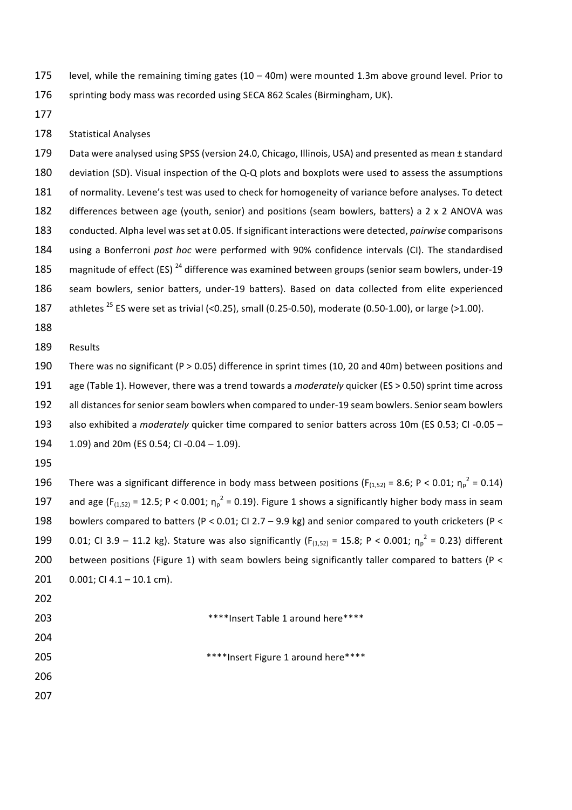175 level, while the remaining timing gates  $(10 - 40m)$  were mounted 1.3m above ground level. Prior to 176 sprinting body mass was recorded using SECA 862 Scales (Birmingham, UK).

177

## 178 Statistical Analyses

179 Data were analysed using SPSS (version 24.0, Chicago, Illinois, USA) and presented as mean  $\pm$  standard 180 deviation (SD). Visual inspection of the Q-Q plots and boxplots were used to assess the assumptions 181 of normality. Levene's test was used to check for homogeneity of variance before analyses. To detect 182 differences between age (youth, senior) and positions (seam bowlers, batters) a 2 x 2 ANOVA was 183 conducted. Alpha level was set at 0.05. If significant interactions were detected, *pairwise* comparisons 184 using a Bonferroni *post hoc* were performed with 90% confidence intervals (CI). The standardised 185 magnitude of effect  $(ES)^{24}$  difference was examined between groups (senior seam bowlers, under-19 186 seam bowlers, senior batters, under-19 batters). Based on data collected from elite experienced 187 athletes  $^{25}$  ES were set as trivial (<0.25), small (0.25-0.50), moderate (0.50-1.00), or large (>1.00).

188

189 Results

190 There was no significant (P > 0.05) difference in sprint times (10, 20 and 40m) between positions and 191 age (Table 1). However, there was a trend towards a *moderately* quicker (ES > 0.50) sprint time across 192 all distances for senior seam bowlers when compared to under-19 seam bowlers. Senior seam bowlers 193 also exhibited a *moderately* quicker time compared to senior batters across 10m (ES 0.53; CI -0.05 – 194 1.09) and  $20m$  (ES 0.54; CI -0.04 - 1.09).

195

196 There was a significant difference in body mass between positions ( $F_{(1,52)} = 8.6$ ; P < 0.01;  $\eta_p^2 = 0.14$ ) 197 and age (F<sub>(1,52)</sub> = 12.5; P < 0.001;  $\eta_p^2$  = 0.19). Figure 1 shows a significantly higher body mass in seam 198 bowlers compared to batters (P < 0.01; CI 2.7 – 9.9 kg) and senior compared to youth cricketers (P < 199 0.01; CI 3.9 – 11.2 kg). Stature was also significantly ( $F_{(1,52)} = 15.8$ ; P < 0.001;  $\eta_p^2 = 0.23$ ) different 200 between positions (Figure 1) with seam bowlers being significantly taller compared to batters (P < 201  $0.001$ ; CI 4.1 – 10.1 cm).

- 202
- 203 **\*\*\*\*\*Insert Table 1 around here\*\*\*\***

- 
- 205 **\*\*\*\***Insert Figure 1 around here\*\*\*\*
- 206 207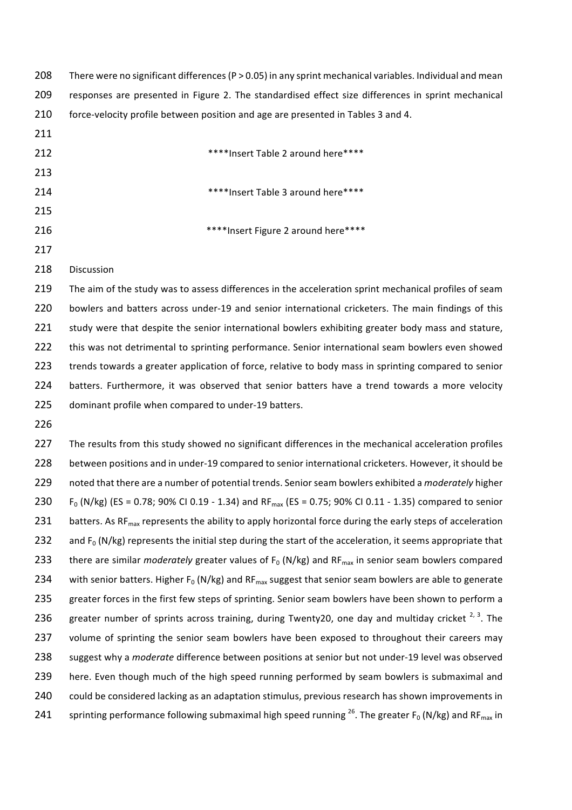| 208 | There were no significant differences ( $P > 0.05$ ) in any sprint mechanical variables. Individual and mean                       |
|-----|------------------------------------------------------------------------------------------------------------------------------------|
| 209 | responses are presented in Figure 2. The standardised effect size differences in sprint mechanical                                 |
| 210 | force-velocity profile between position and age are presented in Tables 3 and 4.                                                   |
| 211 |                                                                                                                                    |
| 212 | **** Insert Table 2 around here****                                                                                                |
| 213 |                                                                                                                                    |
| 214 | **** Insert Table 3 around here****                                                                                                |
| 215 |                                                                                                                                    |
| 216 | **** Insert Figure 2 around here****                                                                                               |
| 217 |                                                                                                                                    |
| 218 | Discussion                                                                                                                         |
| 219 | The aim of the study was to assess differences in the acceleration sprint mechanical profiles of seam                              |
| 220 | bowlers and batters across under-19 and senior international cricketers. The main findings of this                                 |
| 221 | study were that despite the senior international bowlers exhibiting greater body mass and stature,                                 |
| 222 | this was not detrimental to sprinting performance. Senior international seam bowlers even showed                                   |
| 223 | trends towards a greater application of force, relative to body mass in sprinting compared to senior                               |
| 224 | batters. Furthermore, it was observed that senior batters have a trend towards a more velocity                                     |
| 225 | dominant profile when compared to under-19 batters.                                                                                |
| 226 |                                                                                                                                    |
| 227 | The results from this study showed no significant differences in the mechanical acceleration profiles                              |
| 228 | between positions and in under-19 compared to senior international cricketers. However, it should be                               |
| 229 | noted that there are a number of potential trends. Senior seam bowlers exhibited a moderately higher                               |
| 230 | $F_0$ (N/kg) (ES = 0.78; 90% CI 0.19 - 1.34) and RF <sub>max</sub> (ES = 0.75; 90% CI 0.11 - 1.35) compared to senior              |
| 231 | batters. As RF <sub>max</sub> represents the ability to apply horizontal force during the early steps of acceleration              |
| 232 | and $F_0$ (N/kg) represents the initial step during the start of the acceleration, it seems appropriate that                       |
| 233 | there are similar <i>moderately</i> greater values of $F_0$ (N/kg) and R $F_{\text{max}}$ in senior seam bowlers compared          |
| 234 | with senior batters. Higher $F_0$ (N/kg) and RF <sub>max</sub> suggest that senior seam bowlers are able to generate               |
| 235 | greater forces in the first few steps of sprinting. Senior seam bowlers have been shown to perform a                               |
| 236 | greater number of sprints across training, during Twenty20, one day and multiday cricket <sup>2, 3</sup> . The                     |
| 237 | volume of sprinting the senior seam bowlers have been exposed to throughout their careers may                                      |
| 238 | suggest why a moderate difference between positions at senior but not under-19 level was observed                                  |
| 239 | here. Even though much of the high speed running performed by seam bowlers is submaximal and                                       |
| 240 | could be considered lacking as an adaptation stimulus, previous research has shown improvements in                                 |
| 241 | sprinting performance following submaximal high speed running $^{26}$ . The greater F <sub>0</sub> (N/kg) and RF <sub>max</sub> in |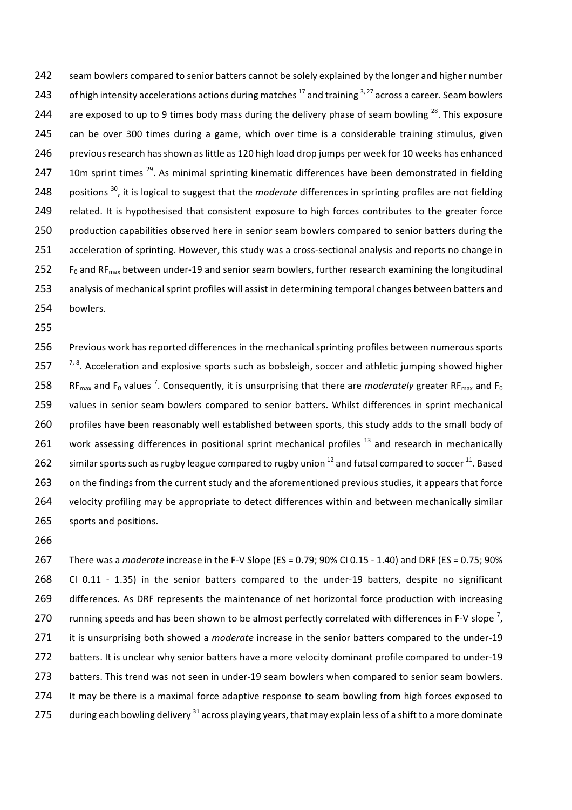242 seam bowlers compared to senior batters cannot be solely explained by the longer and higher number 243 of high intensity accelerations actions during matches  $^{17}$  and training  $^{3,27}$  across a career. Seam bowlers 244 are exposed to up to 9 times body mass during the delivery phase of seam bowling  $^{28}$ . This exposure 245 can be over 300 times during a game, which over time is a considerable training stimulus, given 246 previous research has shown as little as 120 high load drop jumps per week for 10 weeks has enhanced 247 10m sprint times  $^{29}$ . As minimal sprinting kinematic differences have been demonstrated in fielding 248 positions <sup>30</sup>, it is logical to suggest that the *moderate* differences in sprinting profiles are not fielding 249 related. It is hypothesised that consistent exposure to high forces contributes to the greater force 250 production capabilities observed here in senior seam bowlers compared to senior batters during the 251 acceleration of sprinting. However, this study was a cross-sectional analysis and reports no change in 252 F<sub>0</sub> and RF<sub>max</sub> between under-19 and senior seam bowlers, further research examining the longitudinal 253 analysis of mechanical sprint profiles will assist in determining temporal changes between batters and 254 bowlers. 

255

256 Previous work has reported differences in the mechanical sprinting profiles between numerous sports 257  $17, 8$ . Acceleration and explosive sports such as bobsleigh, soccer and athletic jumping showed higher 258 RF<sub>max</sub> and F<sub>0</sub> values<sup>7</sup>. Consequently, it is unsurprising that there are *moderately* greater RF<sub>max</sub> and F<sub>0</sub> 259 values in senior seam bowlers compared to senior batters. Whilst differences in sprint mechanical 260 profiles have been reasonably well established between sports, this study adds to the small body of 261 work assessing differences in positional sprint mechanical profiles<sup>13</sup> and research in mechanically 262 similar sports such as rugby league compared to rugby union  $^{12}$  and futsal compared to soccer  $^{11}$ . Based 263 on the findings from the current study and the aforementioned previous studies, it appears that force 264 velocity profiling may be appropriate to detect differences within and between mechanically similar 265 sports and positions.

266

267 There was a *moderate* increase in the F-V Slope (ES = 0.79; 90% CI 0.15 - 1.40) and DRF (ES = 0.75; 90% 268 CI 0.11 - 1.35) in the senior batters compared to the under-19 batters, despite no significant 269 differences. As DRF represents the maintenance of net horizontal force production with increasing 270 running speeds and has been shown to be almost perfectly correlated with differences in F-V slope  $^7$ , 271 it is unsurprising both showed a *moderate* increase in the senior batters compared to the under-19 272 batters. It is unclear why senior batters have a more velocity dominant profile compared to under-19 273 batters. This trend was not seen in under-19 seam bowlers when compared to senior seam bowlers. 274 It may be there is a maximal force adaptive response to seam bowling from high forces exposed to 275 during each bowling delivery  $31$  across playing years, that may explain less of a shift to a more dominate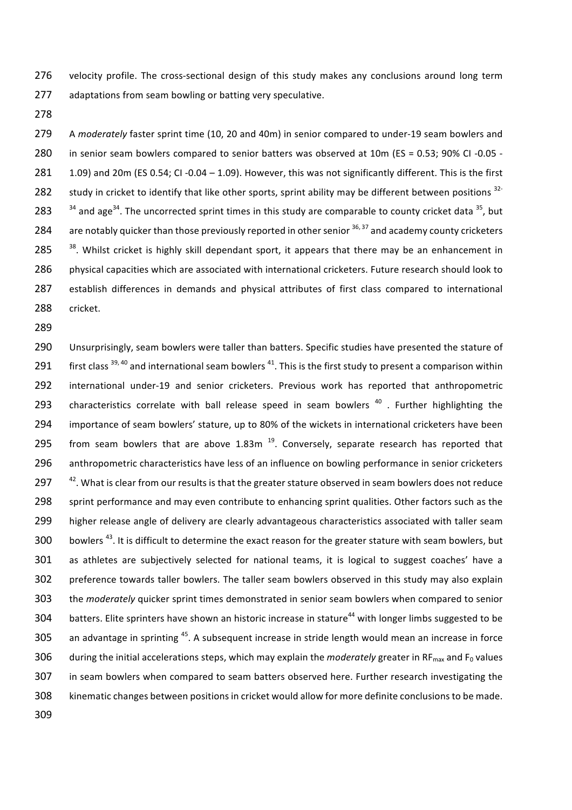276 velocity profile. The cross-sectional design of this study makes any conclusions around long term 277 adaptations from seam bowling or batting very speculative.

278

279 A *moderately* faster sprint time (10, 20 and 40m) in senior compared to under-19 seam bowlers and 280 in senior seam bowlers compared to senior batters was observed at 10m (ES = 0.53; 90% CI -0.05 -281 1.09) and 20m (ES 0.54; CI -0.04 - 1.09). However, this was not significantly different. This is the first 282 study in cricket to identify that like other sports, sprint ability may be different between positions  $32-$ 283  $34$  and age<sup>34</sup>. The uncorrected sprint times in this study are comparable to county cricket data <sup>35</sup>, but 284 are notably quicker than those previously reported in other senior  $36,37$  and academy county cricketers  $285$  <sup>38</sup>. Whilst cricket is highly skill dependant sport, it appears that there may be an enhancement in 286 physical capacities which are associated with international cricketers. Future research should look to 287 establish differences in demands and physical attributes of first class compared to international 288 cricket. 

289

290 Unsurprisingly, seam bowlers were taller than batters. Specific studies have presented the stature of 291 first class  $39,40$  and international seam bowlers  $41$ . This is the first study to present a comparison within 292 international under-19 and senior cricketers. Previous work has reported that anthropometric 293 characteristics correlate with ball release speed in seam bowlers  $40$ . Further highlighting the 294 importance of seam bowlers' stature, up to 80% of the wickets in international cricketers have been 295 from seam bowlers that are above 1.83m  $^{19}$ . Conversely, separate research has reported that 296 anthropometric characteristics have less of an influence on bowling performance in senior cricketers 297  $142$ . What is clear from our results is that the greater stature observed in seam bowlers does not reduce 298 sprint performance and may even contribute to enhancing sprint qualities. Other factors such as the 299 higher release angle of delivery are clearly advantageous characteristics associated with taller seam 300 bowlers<sup>43</sup>. It is difficult to determine the exact reason for the greater stature with seam bowlers, but 301 as athletes are subjectively selected for national teams, it is logical to suggest coaches' have a 302 preference towards taller bowlers. The taller seam bowlers observed in this study may also explain 303 the *moderately* quicker sprint times demonstrated in senior seam bowlers when compared to senior 304 batters. Elite sprinters have shown an historic increase in stature<sup>44</sup> with longer limbs suggested to be 305 an advantage in sprinting  $45$ . A subsequent increase in stride length would mean an increase in force 306 during the initial accelerations steps, which may explain the *moderately* greater in RF<sub>max</sub> and  $F_0$  values 307 in seam bowlers when compared to seam batters observed here. Further research investigating the 308 kinematic changes between positions in cricket would allow for more definite conclusions to be made. 309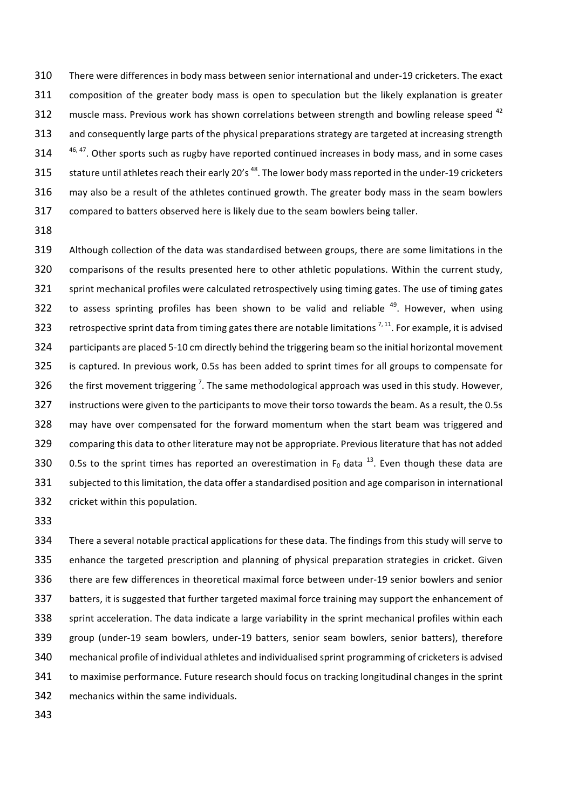310 There were differences in body mass between senior international and under-19 cricketers. The exact 311 composition of the greater body mass is open to speculation but the likely explanation is greater 312 muscle mass. Previous work has shown correlations between strength and bowling release speed  $42$ 313 and consequently large parts of the physical preparations strategy are targeted at increasing strength  $314$   $46,47$ . Other sports such as rugby have reported continued increases in body mass, and in some cases 315 stature until athletes reach their early 20's <sup>48</sup>. The lower body mass reported in the under-19 cricketers 316 may also be a result of the athletes continued growth. The greater body mass in the seam bowlers 317 compared to batters observed here is likely due to the seam bowlers being taller.

318

319 Although collection of the data was standardised between groups, there are some limitations in the 320 comparisons of the results presented here to other athletic populations. Within the current study, 321 sprint mechanical profiles were calculated retrospectively using timing gates. The use of timing gates 322 to assess sprinting profiles has been shown to be valid and reliable  $49$ . However, when using 323 retrospective sprint data from timing gates there are notable limitations<sup>7,11</sup>. For example, it is advised 324 participants are placed 5-10 cm directly behind the triggering beam so the initial horizontal movement 325 is captured. In previous work, 0.5s has been added to sprint times for all groups to compensate for 326 the first movement triggering<sup>7</sup>. The same methodological approach was used in this study. However, 327 instructions were given to the participants to move their torso towards the beam. As a result, the 0.5s 328 may have over compensated for the forward momentum when the start beam was triggered and 329 comparing this data to other literature may not be appropriate. Previous literature that has not added 330 0.5s to the sprint times has reported an overestimation in  $F_0$  data <sup>13</sup>. Even though these data are 331 subjected to this limitation, the data offer a standardised position and age comparison in international 332 cricket within this population.

333

334 There a several notable practical applications for these data. The findings from this study will serve to 335 enhance the targeted prescription and planning of physical preparation strategies in cricket. Given 336 there are few differences in theoretical maximal force between under-19 senior bowlers and senior 337 batters, it is suggested that further targeted maximal force training may support the enhancement of 338 sprint acceleration. The data indicate a large variability in the sprint mechanical profiles within each 339 group (under-19 seam bowlers, under-19 batters, senior seam bowlers, senior batters), therefore 340 mechanical profile of individual athletes and individualised sprint programming of cricketers is advised 341 to maximise performance. Future research should focus on tracking longitudinal changes in the sprint 342 mechanics within the same individuals.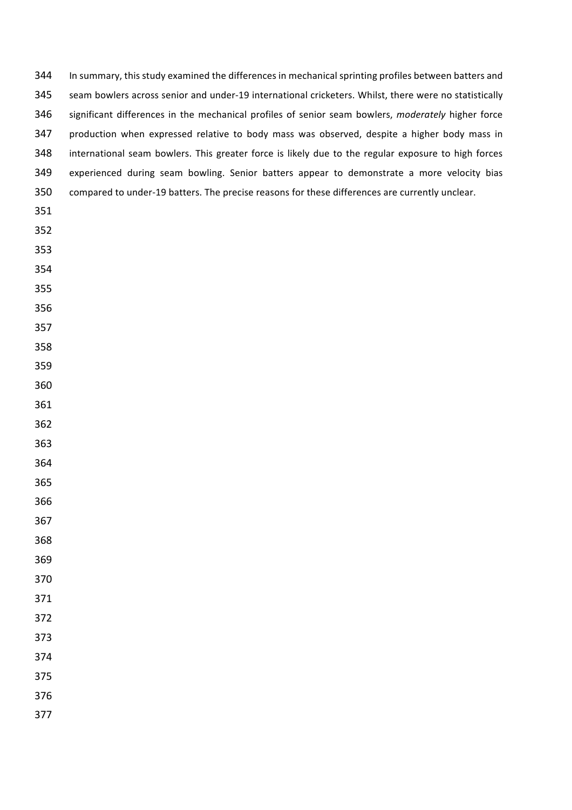| 344 | In summary, this study examined the differences in mechanical sprinting profiles between batters and  |
|-----|-------------------------------------------------------------------------------------------------------|
| 345 | seam bowlers across senior and under-19 international cricketers. Whilst, there were no statistically |
| 346 | significant differences in the mechanical profiles of senior seam bowlers, moderately higher force    |
| 347 | production when expressed relative to body mass was observed, despite a higher body mass in           |
| 348 | international seam bowlers. This greater force is likely due to the regular exposure to high forces   |
| 349 | experienced during seam bowling. Senior batters appear to demonstrate a more velocity bias            |
| 350 | compared to under-19 batters. The precise reasons for these differences are currently unclear.        |
| 351 |                                                                                                       |
| 352 |                                                                                                       |
| 353 |                                                                                                       |
| 354 |                                                                                                       |
| 355 |                                                                                                       |
| 356 |                                                                                                       |
| 357 |                                                                                                       |
| 358 |                                                                                                       |
| 359 |                                                                                                       |
| 360 |                                                                                                       |
| 361 |                                                                                                       |
| 362 |                                                                                                       |
| 363 |                                                                                                       |
| 364 |                                                                                                       |
| 365 |                                                                                                       |
| 366 |                                                                                                       |
| 367 |                                                                                                       |
| 368 |                                                                                                       |
| 369 |                                                                                                       |
| 370 |                                                                                                       |
| 371 |                                                                                                       |
| 372 |                                                                                                       |
| 373 |                                                                                                       |
| 374 |                                                                                                       |
| 375 |                                                                                                       |
| 376 |                                                                                                       |
| 377 |                                                                                                       |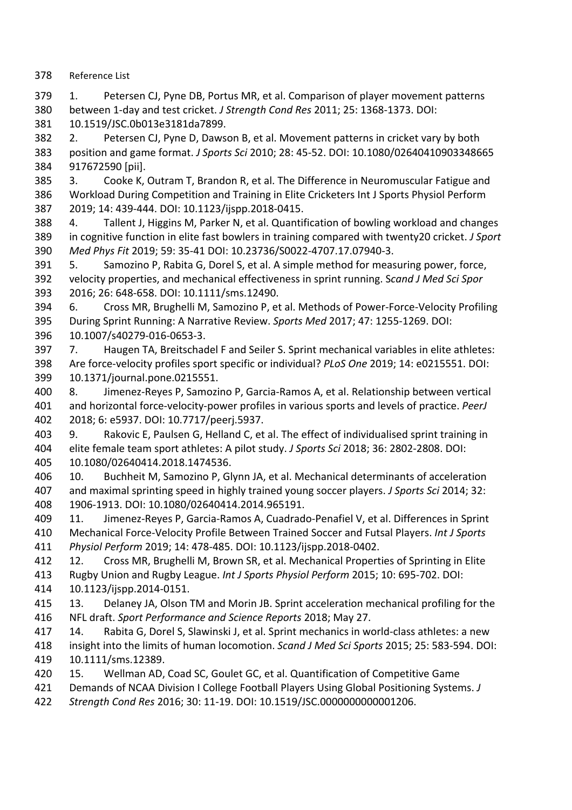378 Reference List

379 1. Petersen CJ, Pyne DB, Portus MR, et al. Comparison of player movement patterns 380 between 1-day and test cricket. *J Strength Cond Res* 2011; 25: 1368-1373. DOI: 381 10.1519/JSC.0b013e3181da7899.

382 2. Petersen CJ, Pyne D, Dawson B, et al. Movement patterns in cricket vary by both 383 position and game format. *J Sports Sci* 2010; 28: 45-52. DOI: 10.1080/02640410903348665 384 917672590 [pii].

385 3. Cooke K, Outram T, Brandon R, et al. The Difference in Neuromuscular Fatigue and 386 Workload During Competition and Training in Elite Cricketers Int J Sports Physiol Perform 387 2019; 14: 439-444. DOI: 10.1123/ijspp.2018-0415.

388 4. Tallent J, Higgins M, Parker N, et al. Quantification of bowling workload and changes 389 in cognitive function in elite fast bowlers in training compared with twenty20 cricket. *J Sport* 390 *Med Phys Fit* 2019; 59: 35-41 DOI: 10.23736/S0022-4707.17.07940-3.

391 5. Samozino P, Rabita G, Dorel S, et al. A simple method for measuring power, force, 392 velocity properties, and mechanical effectiveness in sprint running. Scand J Med Sci Spor 393 2016; 26: 648-658. DOI: 10.1111/sms.12490.

394 6. Cross MR, Brughelli M, Samozino P, et al. Methods of Power-Force-Velocity Profiling 395 During Sprint Running: A Narrative Review. Sports Med 2017; 47: 1255-1269. DOI: 396 10.1007/s40279-016-0653-3.

- 397 7. Haugen TA, Breitschadel F and Seiler S. Sprint mechanical variables in elite athletes: 398 Are force-velocity profiles sport specific or individual? *PLoS One* 2019; 14: e0215551. DOI: 399 10.1371/journal.pone.0215551.
- 400 8. Jimenez-Reyes P, Samozino P, Garcia-Ramos A, et al. Relationship between vertical 401 and horizontal force-velocity-power profiles in various sports and levels of practice. *PeerJ* 402 2018; 6: e5937. DOI: 10.7717/peerj.5937.
- 403 9. Rakovic E, Paulsen G, Helland C, et al. The effect of individualised sprint training in 404 elite female team sport athletes: A pilot study. *J Sports Sci* 2018; 36: 2802-2808. DOI: 405 10.1080/02640414.2018.1474536.
- 406 10. Buchheit M, Samozino P, Glynn JA, et al. Mechanical determinants of acceleration 407 and maximal sprinting speed in highly trained young soccer players. *J Sports Sci* 2014; 32: 408 1906-1913. DOI: 10.1080/02640414.2014.965191.
- 409 11. Jimenez-Reyes P, Garcia-Ramos A, Cuadrado-Penafiel V, et al. Differences in Sprint 410 Mechanical Force-Velocity Profile Between Trained Soccer and Futsal Players. *Int J Sports* 411 *Physiol Perform* 2019; 14: 478-485. DOI: 10.1123/ijspp.2018-0402.

412 12. Cross MR, Brughelli M, Brown SR, et al. Mechanical Properties of Sprinting in Elite 413 Rugby Union and Rugby League. *Int J Sports Physiol Perform* 2015; 10: 695-702. DOI:

- 414 10.1123/ijspp.2014-0151.
- 415 13. Delaney JA, Olson TM and Morin JB. Sprint acceleration mechanical profiling for the 416 NFL draft. Sport Performance and Science Reports 2018; May 27.
- 417 14. Rabita G, Dorel S, Slawinski J, et al. Sprint mechanics in world-class athletes: a new 418 insight into the limits of human locomotion. *Scand J Med Sci Sports* 2015; 25: 583-594. DOI: 419 10.1111/sms.12389.
- 420 15. Wellman AD, Coad SC, Goulet GC, et al. Quantification of Competitive Game
- 421 Demands of NCAA Division I College Football Players Using Global Positioning Systems. *J*
- 422 *Strength Cond Res* 2016; 30: 11-19. DOI: 10.1519/JSC.0000000000001206.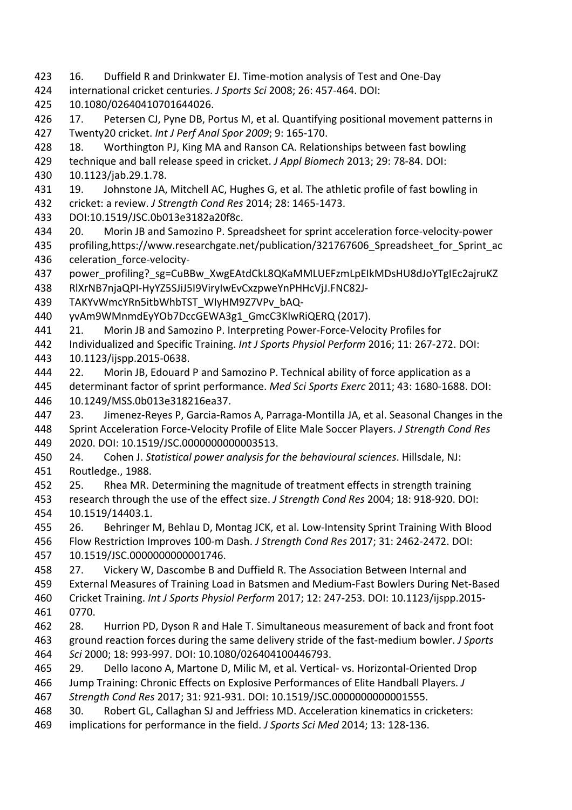- 423 16. Duffield R and Drinkwater EJ. Time-motion analysis of Test and One-Day
- 424 international cricket centuries. *J Sports Sci* 2008; 26: 457-464. DOI:
- 425 10.1080/02640410701644026.
- 426 17. Petersen CJ, Pyne DB, Portus M, et al. Quantifying positional movement patterns in 427 Twenty20 cricket. *Int J Perf Anal Spor 2009*; 9: 165-170.
- 428 18. Worthington PJ, King MA and Ranson CA. Relationships between fast bowling
- 429 technique and ball release speed in cricket. *J Appl Biomech* 2013; 29: 78-84. DOI:
- 430 10.1123/jab.29.1.78.
- 431 19. Johnstone JA, Mitchell AC, Hughes G, et al. The athletic profile of fast bowling in 432 cricket: a review. *J Strength Cond Res* 2014; 28: 1465-1473.
- 433 DOI:10.1519/JSC.0b013e3182a20f8c.
- 434 20. Morin JB and Samozino P. Spreadsheet for sprint acceleration force-velocity-power
- 435 profiling,https://www.researchgate.net/publication/321767606\_Spreadsheet\_for\_Sprint\_ac 436 celeration\_force-velocity-
- 437 power\_profiling? sg=CuBBw\_XwgEAtdCkL8QKaMMLUEFzmLpEIkMDsHU8dJoYTgIEc2ajruKZ 438 RlXrNB7njaQPI-HyYZ5SJiJ5I9ViryIwEvCxzpweYnPHHcVjJ.FNC82J-
- 439 TAKYvWmcYRn5itbWhbTST\_WIyHM9Z7VPv\_bAQ-
- 440 yvAm9WMnmdEyYOb7DccGEWA3g1\_GmcC3KlwRiQERQ (2017).
- 441 21. Morin JB and Samozino P. Interpreting Power-Force-Velocity Profiles for
- 442 Individualized and Specific Training. *Int J Sports Physiol Perform* 2016; 11: 267-272. DOI:
- 443 10.1123/ijspp.2015-0638.
- 444 22. Morin JB, Edouard P and Samozino P. Technical ability of force application as a 445 determinant factor of sprint performance. *Med Sci Sports Exerc* 2011; 43: 1680-1688. DOI: 446 10.1249/MSS.0b013e318216ea37.
- 447 23. Jimenez-Reyes P, Garcia-Ramos A, Parraga-Montilla JA, et al. Seasonal Changes in the 448 Sprint Acceleration Force-Velocity Profile of Elite Male Soccer Players. *J Strength Cond Res* 449 2020. DOI: 10.1519/JSC.00000000000003513.
- 450 24. Cohen J. *Statistical power analysis for the behavioural sciences*. Hillsdale, NJ: 451 Routledge., 1988.
- 452 25. Rhea MR. Determining the magnitude of treatment effects in strength training 453 research through the use of the effect size. *J Strength Cond Res* 2004; 18: 918-920. DOI: 454 10.1519/14403.1.
- 455 26. Behringer M, Behlau D, Montag JCK, et al. Low-Intensity Sprint Training With Blood 456 Flow Restriction Improves 100-m Dash. *J Strength Cond Res* 2017; 31: 2462-2472. DOI: 457 10.1519/JSC.0000000000001746.
- 458 27. Vickery W, Dascombe B and Duffield R. The Association Between Internal and
- 459 External Measures of Training Load in Batsmen and Medium-Fast Bowlers During Net-Based
- 460 Cricket Training. *Int J Sports Physiol Perform* 2017; 12: 247-253. DOI: 10.1123/ijspp.2015-461 0770.
- 462 28. Hurrion PD, Dyson R and Hale T. Simultaneous measurement of back and front foot 463 ground reaction forces during the same delivery stride of the fast-medium bowler. *J Sports* 464 *Sci* 2000; 18: 993-997. DOI: 10.1080/026404100446793.
- 465 29. Dello Iacono A, Martone D, Milic M, et al. Vertical- vs. Horizontal-Oriented Drop
- 466 Jump Training: Chronic Effects on Explosive Performances of Elite Handball Players. *J*
- 467 *Strength Cond Res* 2017; 31: 921-931. DOI: 10.1519/JSC.0000000000001555.
- 468 30. Robert GL, Callaghan SJ and Jeffriess MD. Acceleration kinematics in cricketers: 469 implications for performance in the field. *J Sports Sci Med* 2014; 13: 128-136.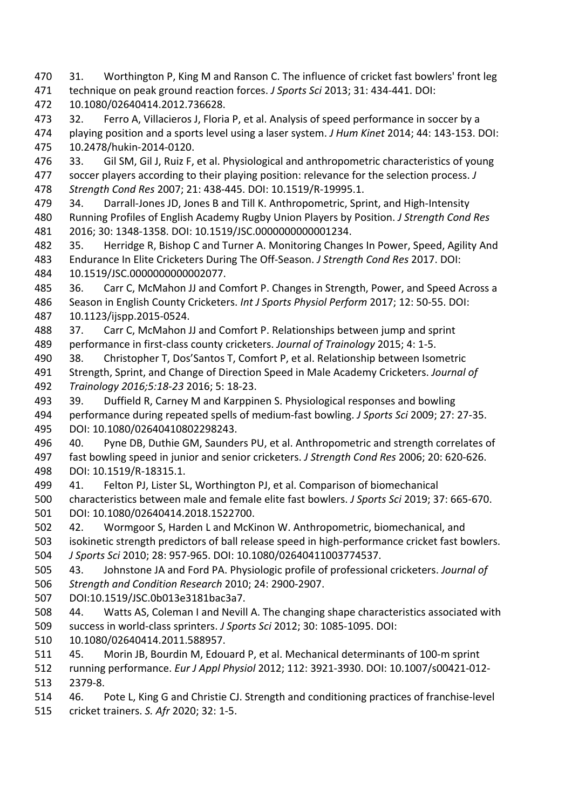- 470 31. Worthington P, King M and Ranson C. The influence of cricket fast bowlers' front leg 471 technique on peak ground reaction forces. *J Sports Sci* 2013; 31: 434-441. DOI:
- 472 10.1080/02640414.2012.736628.
- 473 32. Ferro A, Villacieros J, Floria P, et al. Analysis of speed performance in soccer by a 474 playing position and a sports level using a laser system. *J Hum Kinet* 2014; 44: 143-153. DOI: 475 10.2478/hukin-2014-0120.
- 476 33. Gil SM, Gil J, Ruiz F, et al. Physiological and anthropometric characteristics of young 477 soccer players according to their playing position: relevance for the selection process. *J* 478 Strength Cond Res 2007; 21: 438-445. DOI: 10.1519/R-19995.1.
- 479 34. Darrall-Jones JD, Jones B and Till K. Anthropometric, Sprint, and High-Intensity 480 Running Profiles of English Academy Rugby Union Players by Position. *J Strength Cond Res* 481 2016; 30: 1348-1358. DOI: 10.1519/JSC.0000000000001234.
- 482 35. Herridge R, Bishop C and Turner A. Monitoring Changes In Power, Speed, Agility And 483 Endurance In Elite Cricketers During The Off-Season. *J Strength Cond Res* 2017. DOI: 484 10.1519/JSC.0000000000002077.
- 485 36. Carr C, McMahon JJ and Comfort P. Changes in Strength, Power, and Speed Across a 486 Season in English County Cricketers. *Int J Sports Physiol Perform* 2017; 12: 50-55. DOI: 487 10.1123/ijspp.2015-0524.
- 488 37. Carr C, McMahon JJ and Comfort P. Relationships between jump and sprint 489 performance in first-class county cricketers. *Journal of Trainology* 2015; 4: 1-5.
- 490 38. Christopher T, Dos'Santos T, Comfort P, et al. Relationship between Isometric 491 Strength, Sprint, and Change of Direction Speed in Male Academy Cricketers. *Journal of* 492 *Trainology 2016;5:18-23* 2016; 5: 18-23.
- 493 39. Duffield R, Carney M and Karppinen S. Physiological responses and bowling 494 performance during repeated spells of medium-fast bowling. *J Sports Sci* 2009; 27: 27-35. 495 DOI: 10.1080/02640410802298243.
- 496 40. Pyne DB, Duthie GM, Saunders PU, et al. Anthropometric and strength correlates of 497 fast bowling speed in junior and senior cricketers. *J Strength Cond Res* 2006; 20: 620-626. 498 DOI: 10.1519/R-18315.1.
- 499 41. Felton PJ, Lister SL, Worthington PJ, et al. Comparison of biomechanical 500 characteristics between male and female elite fast bowlers. *J Sports Sci* 2019; 37: 665-670. 501 DOI: 10.1080/02640414.2018.1522700.
- 502 42. Wormgoor S, Harden L and McKinon W. Anthropometric, biomechanical, and 503 isokinetic strength predictors of ball release speed in high-performance cricket fast bowlers. 504 *J Sports Sci* 2010; 28: 957-965. DOI: 10.1080/02640411003774537.
- 505 43. Johnstone JA and Ford PA. Physiologic profile of professional cricketers. *Journal of* 506 *Strength and Condition Research* 2010; 24: 2900-2907.
- 507 DOI:10.1519/JSC.0b013e3181bac3a7.
- 508 44. Watts AS, Coleman I and Nevill A. The changing shape characteristics associated with 509 success in world-class sprinters. *J Sports Sci* 2012; 30: 1085-1095. DOI:
- 510 10.1080/02640414.2011.588957.
- 511 45. Morin JB, Bourdin M, Edouard P, et al. Mechanical determinants of 100-m sprint
- 512 running performance. *Eur J Appl Physiol* 2012; 112: 3921-3930. DOI: 10.1007/s00421-012-513 2379-8.
- 514 46. Pote L, King G and Christie CJ. Strength and conditioning practices of franchise-level
- 515 cricket trainers. *S. Afr* 2020; 32: 1-5.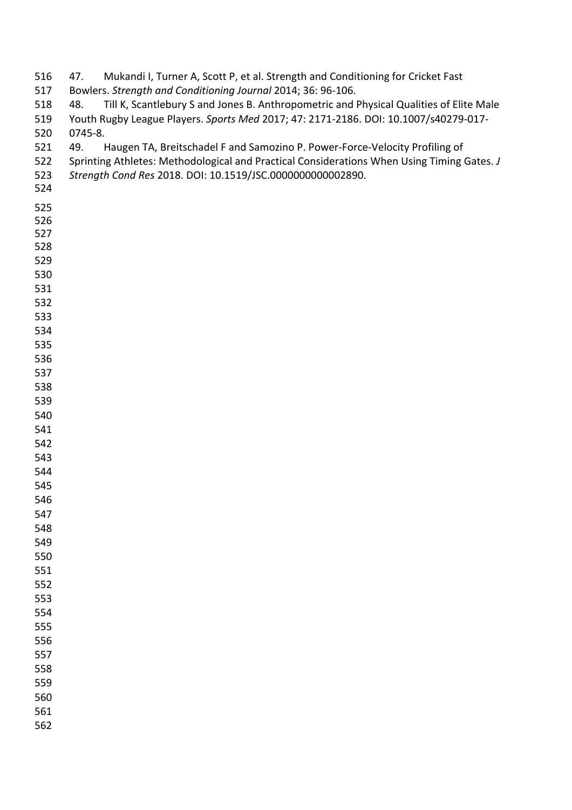| 516 | Mukandi I, Turner A, Scott P, et al. Strength and Conditioning for Cricket Fast<br>47.        |  |  |
|-----|-----------------------------------------------------------------------------------------------|--|--|
| 517 | Bowlers. Strength and Conditioning Journal 2014; 36: 96-106.                                  |  |  |
| 518 | Till K, Scantlebury S and Jones B. Anthropometric and Physical Qualities of Elite Male<br>48. |  |  |
| 519 | Youth Rugby League Players. Sports Med 2017; 47: 2171-2186. DOI: 10.1007/s40279-017-          |  |  |
| 520 | 0745-8.                                                                                       |  |  |
| 521 | Haugen TA, Breitschadel F and Samozino P. Power-Force-Velocity Profiling of<br>49.            |  |  |
| 522 | Sprinting Athletes: Methodological and Practical Considerations When Using Timing Gates. J    |  |  |
| 523 | Strength Cond Res 2018. DOI: 10.1519/JSC.0000000000002890.                                    |  |  |
| 524 |                                                                                               |  |  |
| 525 |                                                                                               |  |  |
| 526 |                                                                                               |  |  |
| 527 |                                                                                               |  |  |
| 528 |                                                                                               |  |  |
| 529 |                                                                                               |  |  |
| 530 |                                                                                               |  |  |
| 531 |                                                                                               |  |  |
| 532 |                                                                                               |  |  |
| 533 |                                                                                               |  |  |
| 534 |                                                                                               |  |  |
| 535 |                                                                                               |  |  |
| 536 |                                                                                               |  |  |
| 537 |                                                                                               |  |  |
| 538 |                                                                                               |  |  |
| 539 |                                                                                               |  |  |
| 540 |                                                                                               |  |  |
| 541 |                                                                                               |  |  |
| 542 |                                                                                               |  |  |
| 543 |                                                                                               |  |  |
| 544 |                                                                                               |  |  |
| 545 |                                                                                               |  |  |
| 546 |                                                                                               |  |  |
| 547 |                                                                                               |  |  |
| 548 |                                                                                               |  |  |
| 549 |                                                                                               |  |  |
| 550 |                                                                                               |  |  |
| 551 |                                                                                               |  |  |
| 552 |                                                                                               |  |  |
| 553 |                                                                                               |  |  |
| 554 |                                                                                               |  |  |
| 555 |                                                                                               |  |  |
| 556 |                                                                                               |  |  |
| 557 |                                                                                               |  |  |
| 558 |                                                                                               |  |  |
| 559 |                                                                                               |  |  |
| 560 |                                                                                               |  |  |
| 561 |                                                                                               |  |  |
| 562 |                                                                                               |  |  |
|     |                                                                                               |  |  |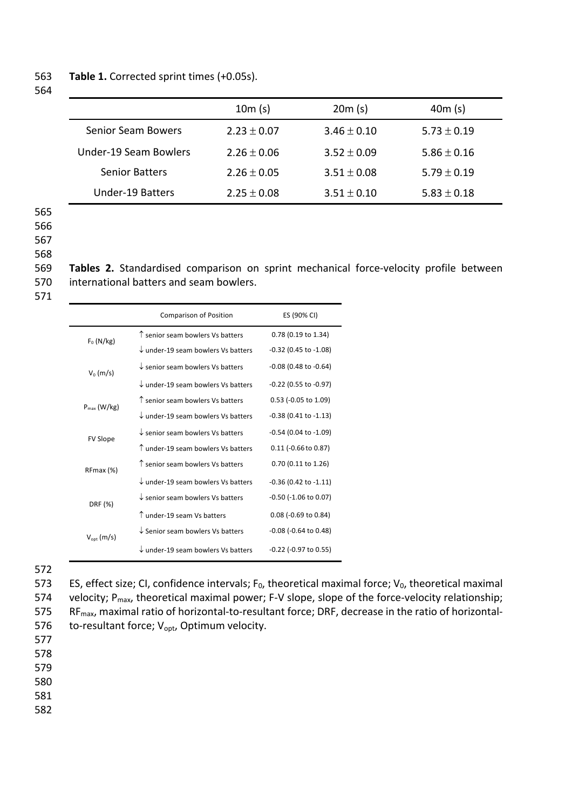### 563 **Table 1.** Corrected sprint times (+0.05s).

564

|                           | 10m(s)          | 20m(s)          | 40m(s)          |
|---------------------------|-----------------|-----------------|-----------------|
| <b>Senior Seam Bowers</b> | $2.23 \pm 0.07$ | $3.46 \pm 0.10$ | $5.73 \pm 0.19$ |
| Under-19 Seam Bowlers     | $2.26 + 0.06$   | $3.52 + 0.09$   | $5.86 \pm 0.16$ |
| <b>Senior Batters</b>     | $2.26 \pm 0.05$ | $3.51 \pm 0.08$ | $5.79 \pm 0.19$ |
| Under-19 Batters          | $2.25 \pm 0.08$ | $3.51 \pm 0.10$ | $5.83 \pm 0.18$ |

565 566

567

568

569 **Tables 2.** Standardised comparison on sprint mechanical force-velocity profile between 570 international batters and seam bowlers.

571

|                  | <b>Comparison of Position</b>                 | ES (90% CI)                   |
|------------------|-----------------------------------------------|-------------------------------|
| $F_0$ (N/kg)     | $\uparrow$ senior seam bowlers Vs batters     | 0.78 (0.19 to 1.34)           |
|                  | $\downarrow$ under-19 seam bowlers Vs batters | $-0.32$ (0.45 to $-1.08$ )    |
| $V_0$ (m/s)      | $\downarrow$ senior seam bowlers Vs batters   | $-0.08$ (0.48 to $-0.64$ )    |
|                  | $\downarrow$ under-19 seam bowlers Vs batters | -0.22 (0.55 to -0.97)         |
| $P_{max}$ (W/kg) | $\uparrow$ senior seam bowlers Vs batters     | $0.53$ (-0.05 to 1.09)        |
|                  | $\downarrow$ under-19 seam bowlers Vs batters | $-0.38$ (0.41 to $-1.13$ )    |
| <b>FV Slope</b>  | $\downarrow$ senior seam bowlers Vs batters   | $-0.54$ (0.04 to $-1.09$ )    |
|                  | $\uparrow$ under-19 seam bowlers Vs batters   | $0.11$ (-0.66 to 0.87)        |
| RFmax (%)        | $\uparrow$ senior seam bowlers Vs batters     | 0.70 (0.11 to 1.26)           |
|                  | $\downarrow$ under-19 seam bowlers Vs batters | $-0.36$ (0.42 to $-1.11$ )    |
| DRF (%)          | $\downarrow$ senior seam bowlers Vs batters   | $-0.50$ ( $-1.06$ to $0.07$ ) |
|                  | $\uparrow$ under-19 seam Vs batters           | 0.08 (-0.69 to 0.84)          |
| $V_{opt}(m/s)$   | $\downarrow$ Senior seam bowlers Vs batters   | $-0.08$ ( $-0.64$ to $0.48$ ) |
|                  | $\downarrow$ under-19 seam bowlers Vs batters | $-0.22$ ( $-0.97$ to $0.55$ ) |

572

573 ES, effect size; CI, confidence intervals;  $F_0$ , theoretical maximal force;  $V_0$ , theoretical maximal 574 velocity;  $P_{max}$ , theoretical maximal power; F-V slope, slope of the force-velocity relationship; 575 RF<sub>max</sub>, maximal ratio of horizontal-to-resultant force; DRF, decrease in the ratio of horizontal-576 to-resultant force;  $V_{\text{opt}}$ , Optimum velocity.

577

578

579

580

581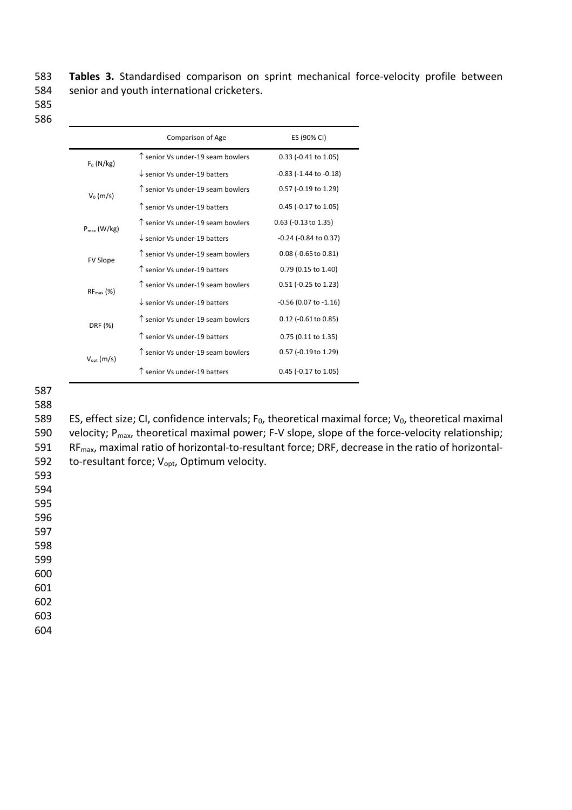583 Tables 3. Standardised comparison on sprint mechanical force-velocity profile between 584 senior and youth international cricketers.

585 586

|                        | <b>Comparison of Age</b>                   | ES (90% CI)                    |
|------------------------|--------------------------------------------|--------------------------------|
| $F_0$ (N/kg)           | $\uparrow$ senior Vs under-19 seam bowlers | 0.33 (-0.41 to 1.05)           |
|                        | $\downarrow$ senior Vs under-19 batters    | $-0.83$ ( $-1.44$ to $-0.18$ ) |
| $V_0$ (m/s)            | $\uparrow$ senior Vs under-19 seam bowlers | 0.57 (-0.19 to 1.29)           |
|                        | ↑ senior Vs under-19 batters               | 0.45 (-0.17 to 1.05)           |
| $P_{max}$ (W/kg)       | $\uparrow$ senior Vs under-19 seam bowlers | 0.63 (-0.13 to 1.35)           |
|                        | $\downarrow$ senior Vs under-19 batters    | -0.24 (-0.84 to 0.37)          |
| <b>FV Slope</b>        | $\uparrow$ senior Vs under-19 seam bowlers | 0.08 (-0.65 to 0.81)           |
|                        | ↑ senior Vs under-19 batters               | 0.79 (0.15 to 1.40)            |
| $RF_{max}$ (%)         | T senior Vs under-19 seam bowlers          | 0.51 (-0.25 to 1.23)           |
|                        | $\downarrow$ senior Vs under-19 batters    | -0.56 (0.07 to -1.16)          |
| DRF (%)                | $\uparrow$ senior Vs under-19 seam bowlers | $0.12$ (-0.61 to 0.85)         |
|                        | ↑ senior Vs under-19 batters               | 0.75 (0.11 to 1.35)            |
| $V_{\text{opt}}$ (m/s) | T senior Vs under-19 seam bowlers          | 0.57 (-0.19 to 1.29)           |
|                        | ↑ senior Vs under-19 batters               | 0.45 (-0.17 to 1.05)           |

587

588

589 ES, effect size; CI, confidence intervals;  $F_0$ , theoretical maximal force;  $V_0$ , theoretical maximal 590 velocity;  $P_{max}$ , theoretical maximal power; F-V slope, slope of the force-velocity relationship; 591 RF<sub>max</sub>, maximal ratio of horizontal-to-resultant force; DRF, decrease in the ratio of horizontal-592 to-resultant force;  $V_{\text{opt}}$ , Optimum velocity.

593 594

595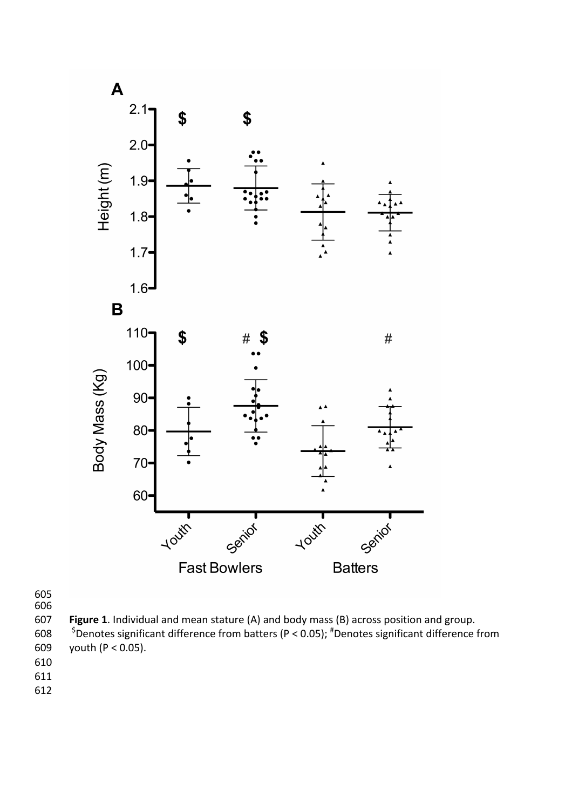

**Figure 1**. Individual and mean stature (A) and body mass (B) across position and group.

608  $\frac{1}{2}$   $\frac{1}{2}$  Denotes significant difference from batters (P < 0.05);  $\frac{4}{3}$  Denotes significant difference from 609 youth  $(P < 0.05)$ .